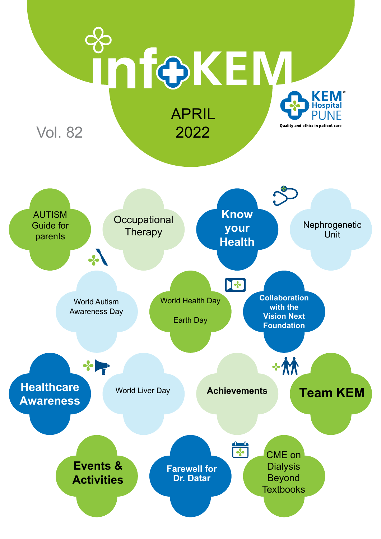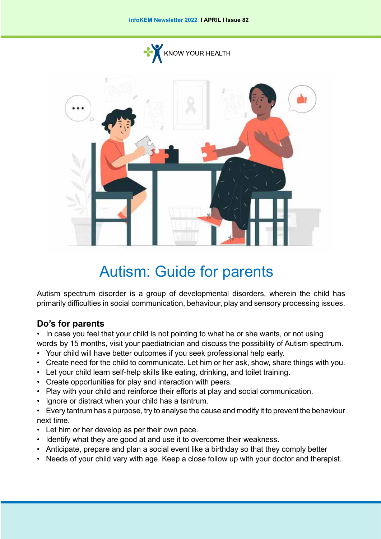

# Autism: Guide for parents

Autism spectrum disorder is a group of developmental disorders, wherein the child has primarily difficulties in social communication, behaviour, play and sensory processing issues.

## **Do's for parents**

• In case you feel that your child is not pointing to what he or she wants, or not using words by 15 months, visit your paediatrician and discuss the possibility of Autism spectrum.

- Your child will have better outcomes if you seek professional help early.
- Create need for the child to communicate. Let him or her ask, show, share things with you.
- Let your child learn self-help skills like eating, drinking, and toilet training.
- Create opportunities for play and interaction with peers.
- Play with your child and reinforce their efforts at play and social communication.
- Ignore or distract when your child has a tantrum.
- Every tantrum has a purpose, try to analyse the cause and modify it to prevent the behaviour next time.
- Let him or her develop as per their own pace.
- Identify what they are good at and use it to overcome their weakness.
- Anticipate, prepare and plan a social event like a birthday so that they comply better
- Needs of your child vary with age. Keep a close follow up with your doctor and therapist.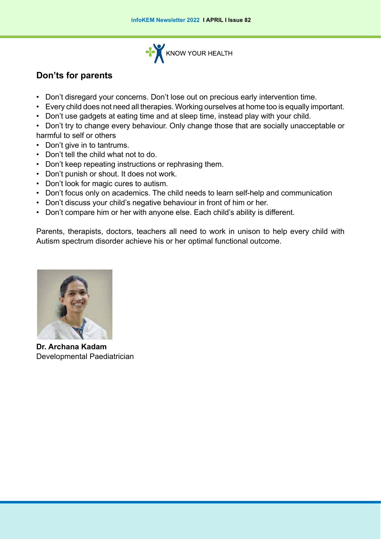

# **Don'ts for parents**

- Don't disregard your concerns. Don't lose out on precious early intervention time.
- Every child does not need all therapies. Working ourselves at home too is equally important.
- Don't use gadgets at eating time and at sleep time, instead play with your child.
- Don't try to change every behaviour. Only change those that are socially unacceptable or harmful to self or others
- Don't give in to tantrums.
- Don't tell the child what not to do.
- Don't keep repeating instructions or rephrasing them.
- Don't punish or shout. It does not work.
- Don't look for magic cures to autism.
- Don't focus only on academics. The child needs to learn self-help and communication
- Don't discuss your child's negative behaviour in front of him or her.
- Don't compare him or her with anyone else. Each child's ability is different.

Parents, therapists, doctors, teachers all need to work in unison to help every child with Autism spectrum disorder achieve his or her optimal functional outcome.



**Dr. Archana Kadam** Developmental Paediatrician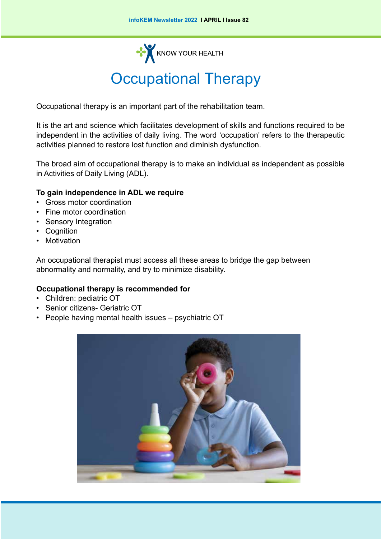**KNOW YOUR HEALTH** 

# Occupational Therapy

Occupational therapy is an important part of the rehabilitation team.

It is the art and science which facilitates development of skills and functions required to be independent in the activities of daily living. The word 'occupation' refers to the therapeutic activities planned to restore lost function and diminish dysfunction.

The broad aim of occupational therapy is to make an individual as independent as possible in Activities of Daily Living (ADL).

#### **To gain independence in ADL we require**

- Gross motor coordination
- Fine motor coordination
- Sensory Integration
- Cognition
- **Motivation**

An occupational therapist must access all these areas to bridge the gap between abnormality and normality, and try to minimize disability.

#### **Occupational therapy is recommended for**

- Children: pediatric OT
- Senior citizens- Geriatric OT
- People having mental health issues psychiatric OT

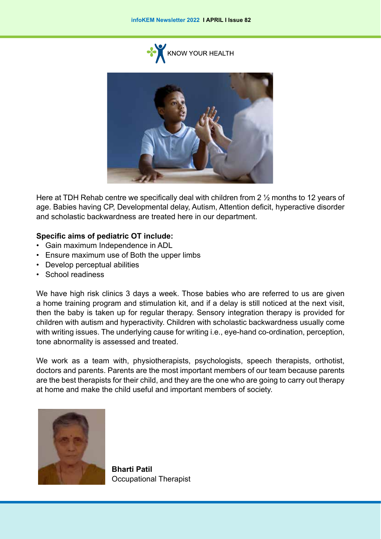



Here at TDH Rehab centre we specifically deal with children from 2 ½ months to 12 years of age. Babies having CP, Developmental delay, Autism, Attention deficit, hyperactive disorder and scholastic backwardness are treated here in our department.

#### **Specific aims of pediatric OT include:**

- Gain maximum Independence in ADL
- Ensure maximum use of Both the upper limbs
- Develop perceptual abilities
- School readiness

We have high risk clinics 3 days a week. Those babies who are referred to us are given a home training program and stimulation kit, and if a delay is still noticed at the next visit, then the baby is taken up for regular therapy. Sensory integration therapy is provided for children with autism and hyperactivity. Children with scholastic backwardness usually come with writing issues. The underlying cause for writing i.e., eye-hand co-ordination, perception, tone abnormality is assessed and treated.

We work as a team with, physiotherapists, psychologists, speech therapists, orthotist, doctors and parents. Parents are the most important members of our team because parents are the best therapists for their child, and they are the one who are going to carry out therapy at home and make the child useful and important members of society.



**Bharti Patil** Occupational Therapist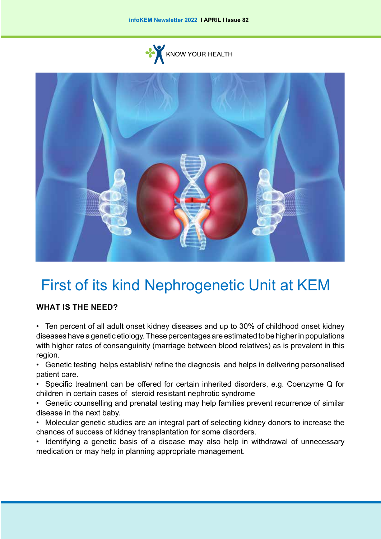



# First of its kind Nephrogenetic Unit at KEM

## **What is the need?**

- Ten percent of all adult onset kidney diseases and up to 30% of childhood onset kidney diseases have a genetic etiology. These percentages are estimated to be higher in populations with higher rates of consanguinity (marriage between blood relatives) as is prevalent in this region.
- Genetic testing helps establish/ refine the diagnosis and helps in delivering personalised patient care.
- Specific treatment can be offered for certain inherited disorders, e.g. Coenzyme Q for children in certain cases of steroid resistant nephrotic syndrome
- Genetic counselling and prenatal testing may help families prevent recurrence of similar disease in the next baby.
- Molecular genetic studies are an integral part of selecting kidney donors to increase the chances of success of kidney transplantation for some disorders.
- Identifying a genetic basis of a disease may also help in withdrawal of unnecessary medication or may help in planning appropriate management.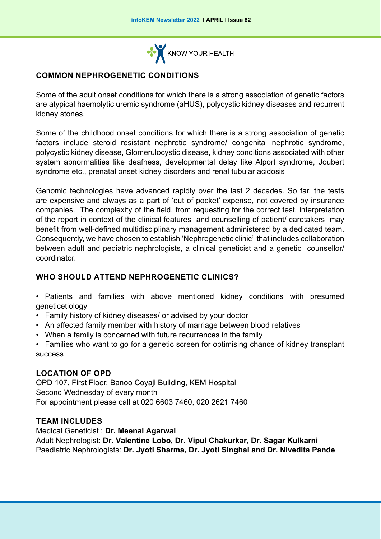

## **Common nephrogenetic conditions**

Some of the adult onset conditions for which there is a strong association of genetic factors are atypical haemolytic uremic syndrome (aHUS), polycystic kidney diseases and recurrent kidney stones.

Some of the childhood onset conditions for which there is a strong association of genetic factors include steroid resistant nephrotic syndrome/ congenital nephrotic syndrome, polycystic kidney disease, Glomerulocystic disease, kidney conditions associated with other system abnormalities like deafness, developmental delay like Alport syndrome, Joubert syndrome etc., prenatal onset kidney disorders and renal tubular acidosis

Genomic technologies have advanced rapidly over the last 2 decades. So far, the tests are expensive and always as a part of 'out of pocket' expense, not covered by insurance companies. The complexity of the field, from requesting for the correct test, interpretation of the report in context of the clinical features and counselling of patient/ caretakers may benefit from well-defined multidisciplinary management administered by a dedicated team. Consequently, we have chosen to establish 'Nephrogenetic clinic' that includes collaboration between adult and pediatric nephrologists, a clinical geneticist and a genetic counsellor/ coordinator.

### **Who should attend Nephrogenetic clinics?**

• Patients and families with above mentioned kidney conditions with presumed geneticetiology

- Family history of kidney diseases/ or advised by your doctor
- An affected family member with history of marriage between blood relatives
- When a family is concerned with future recurrences in the family

• Families who want to go for a genetic screen for optimising chance of kidney transplant success

#### **Location of OPD**

OPD 107, First Floor, Banoo Coyaji Building, KEM Hospital Second Wednesday of every month For appointment please call at 020 6603 7460, 020 2621 7460

#### **Team includes**

Medical Geneticist : **Dr. Meenal Agarwal** Adult Nephrologist: **Dr. Valentine Lobo, Dr. Vipul Chakurkar, Dr. Sagar Kulkarni**  Paediatric Nephrologists: **Dr. Jyoti Sharma, Dr. Jyoti Singhal and Dr. Nivedita Pande**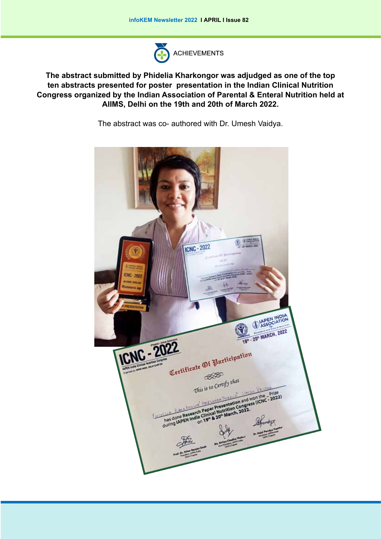

**The abstract submitted by Phidelia Kharkongor was adjudged as one of the top ten abstracts presented for poster presentation in the Indian Clinical Nutrition Congress organized by the Indian Association of Parental & Enteral Nutrition held at AIIMS, Delhi on the 19th and 20th of March 2022.**

The abstract was co- authored with Dr. Umesh Vaidya.

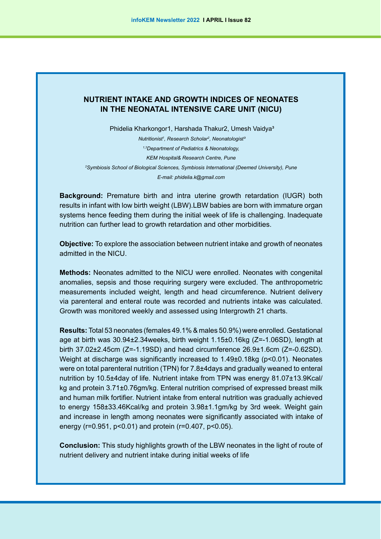### **NUTRIENT INTAKE AND GROWTH INDICES OF NEONATES IN THE NEONATAL INTENSIVE CARE UNIT (NICU)**

Phidelia Kharkongor1, Harshada Thakur2, Umesh Vaidya<sup>3</sup> *Mutritionist<sup>1</sup>*, Research Scholar<sup>2</sup>, Neonatologist<sup>3</sup> *1,3Department of Pediatrics & Neonatology,* 

*KEM Hospital& Research Centre, Pune 2 Symbiosis School of Biological Sciences, Symbiosis International (Deemed University), Pune E-mail: phidelia.k@gmail.com* 

**Background:** Premature birth and intra uterine growth retardation (IUGR) both results in infant with low birth weight (LBW).LBW babies are born with immature organ systems hence feeding them during the initial week of life is challenging. Inadequate nutrition can further lead to growth retardation and other morbidities.

**Objective:** To explore the association between nutrient intake and growth of neonates admitted in the NICU.

**Methods:** Neonates admitted to the NICU were enrolled. Neonates with congenital anomalies, sepsis and those requiring surgery were excluded. The anthropometric measurements included weight, length and head circumference. Nutrient delivery via parenteral and enteral route was recorded and nutrients intake was calculated. Growth was monitored weekly and assessed using Intergrowth 21 charts.

**Results:** Total 53 neonates (females 49.1% & males 50.9%) were enrolled. Gestational age at birth was 30.94±2.34weeks, birth weight 1.15±0.16kg (Z=-1.06SD), length at birth 37.02±2.45cm (Z=-1.19SD) and head circumference 26.9±1.6cm (Z=-0.62SD). Weight at discharge was significantly increased to 1.49±0.18kg (p<0.01). Neonates were on total parenteral nutrition (TPN) for 7.8±4days and gradually weaned to enteral nutrition by 10.5±4day of life. Nutrient intake from TPN was energy 81.07±13.9Kcal/ kg and protein 3.71±0.76gm/kg. Enteral nutrition comprised of expressed breast milk and human milk fortifier. Nutrient intake from enteral nutrition was gradually achieved to energy 158±33.46Kcal/kg and protein 3.98±1.1gm/kg by 3rd week. Weight gain and increase in length among neonates were significantly associated with intake of energy (r=0.951, p<0.01) and protein (r=0.407, p<0.05).

**Conclusion:** This study highlights growth of the LBW neonates in the light of route of nutrient delivery and nutrient intake during initial weeks of life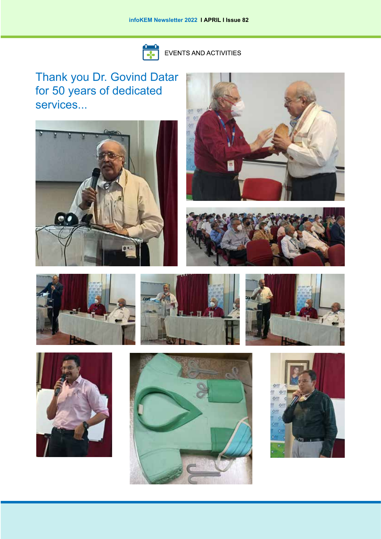

EVENTS AND ACTIVITIES

Thank you Dr. Govind Datar for 50 years of dedicated services...

















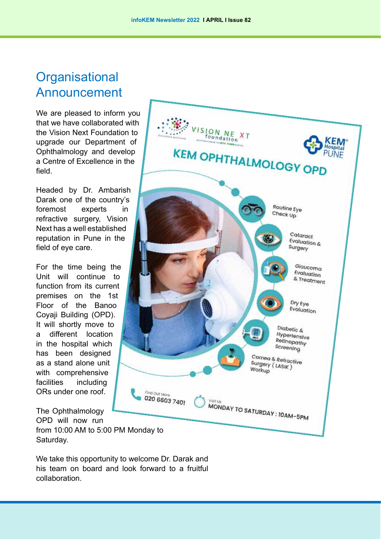# **Organisational** Announcement

We are pleased to inform you that we have collaborated with the Vision Next Foundation to upgrade our Department of Ophthalmology and develop a Centre of Excellence in the field.

Headed by Dr. Ambarish Darak one of the country's foremost experts in refractive surgery, Vision Next has a well established reputation in Pune in the field of eye care.

For the time being the Unit will continue to function from its current premises on the 1st Floor of the Banoo Coyaji Building (OPD). It will shortly move to a different location in the hospital which has been designed as a stand alone unit with comprehensive facilities including ORs under one roof.

VISION NE<br>foundation  $X$  T KEM OPHTHALMOLOGY OPD Routine Eye Check Up Cataract Evaluation  $\&$ Surgery Glaucoma Evaluation & Treatment Dry Eye Evaluation Diabetic & Hypertensive Retinopathy Screening Cornea & Refractive Surgery (LASIK)<br>Workun Workup Find Out More 020 6603 7401 Visit Liv MONDAY TO SATURDAY : 10AM-5PM

The Ophthalmology OPD will now run

from 10:00 AM to 5:00 PM Monday to Saturday.

We take this opportunity to welcome Dr. Darak and his team on board and look forward to a fruitful collaboration.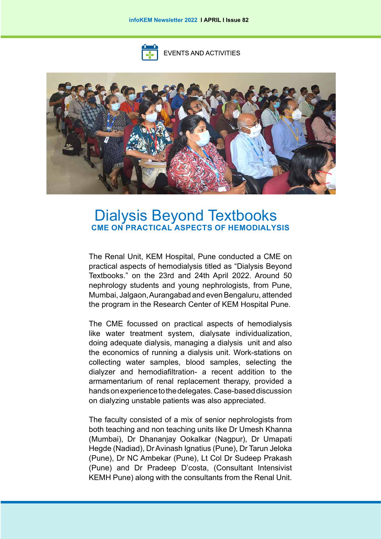

**EVENTS AND ACTIVITIES** 



# Dialysis Beyond Textbooks **CME on practical aspects of hemodialysis**

The Renal Unit, KEM Hospital, Pune conducted a CME on practical aspects of hemodialysis titled as "Dialysis Beyond Textbooks." on the 23rd and 24th April 2022. Around 50 nephrology students and young nephrologists, from Pune, Mumbai, Jalgaon, Aurangabad and even Bengaluru, attended the program in the Research Center of KEM Hospital Pune.

The CME focussed on practical aspects of hemodialysis like water treatment system, dialysate individualization, doing adequate dialysis, managing a dialysis unit and also the economics of running a dialysis unit. Work-stations on collecting water samples, blood samples, selecting the dialyzer and hemodiafiltration- a recent addition to the armamentarium of renal replacement therapy, provided a hands on experience to the delegates. Case-based discussion on dialyzing unstable patients was also appreciated.

The faculty consisted of a mix of senior nephrologists from both teaching and non teaching units like Dr Umesh Khanna (Mumbai), Dr Dhananjay Ookalkar (Nagpur), Dr Umapati Hegde (Nadiad), Dr Avinash Ignatius (Pune), Dr Tarun Jeloka (Pune), Dr NC Ambekar (Pune), Lt Col Dr Sudeep Prakash (Pune) and Dr Pradeep D'costa, (Consultant Intensivist KEMH Pune) along with the consultants from the Renal Unit.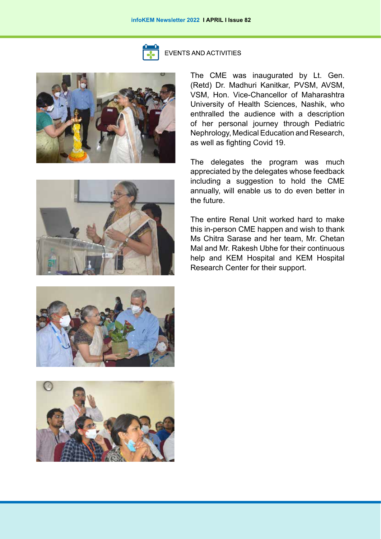

**EVENTS AND ACTIVITIES** 



The CME was inaugurated by Lt. Gen. (Retd) Dr. Madhuri Kanitkar, PVSM, AVSM, VSM, Hon. Vice-Chancellor of Maharashtra University of Health Sciences, Nashik, who enthralled the audience with a description of her personal journey through Pediatric Nephrology, Medical Education and Research, as well as fighting Covid 19.

The delegates the program was much appreciated by the delegates whose feedback including a suggestion to hold the CME annually, will enable us to do even better in the future.

The entire Renal Unit worked hard to make this in-person CME happen and wish to thank Ms Chitra Sarase and her team, Mr. Chetan Mal and Mr. Rakesh Ubhe for their continuous help and KEM Hospital and KEM Hospital Research Center for their support.





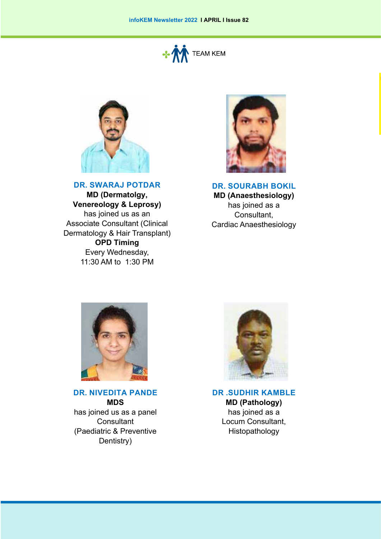



**Dr. Swaraj Potdar**

**MD (Dermatolgy, Venereology & Leprosy)**  has joined us as an Associate Consultant (Clinical Dermatology & Hair Transplant) **OPD Timing** Every Wednesday, 11:30 AM to 1:30 PM



**Dr. Sourabh Bokil MD (Anaesthesiology)**  has joined as a Consultant, Cardiac Anaesthesiology



**Dr. Nivedita Pande MDS**  has joined us as a panel **Consultant** (Paediatric & Preventive Dentistry)



**Dr .Sudhir Kamble MD (Pathology)** has joined as a Locum Consultant, Histopathology